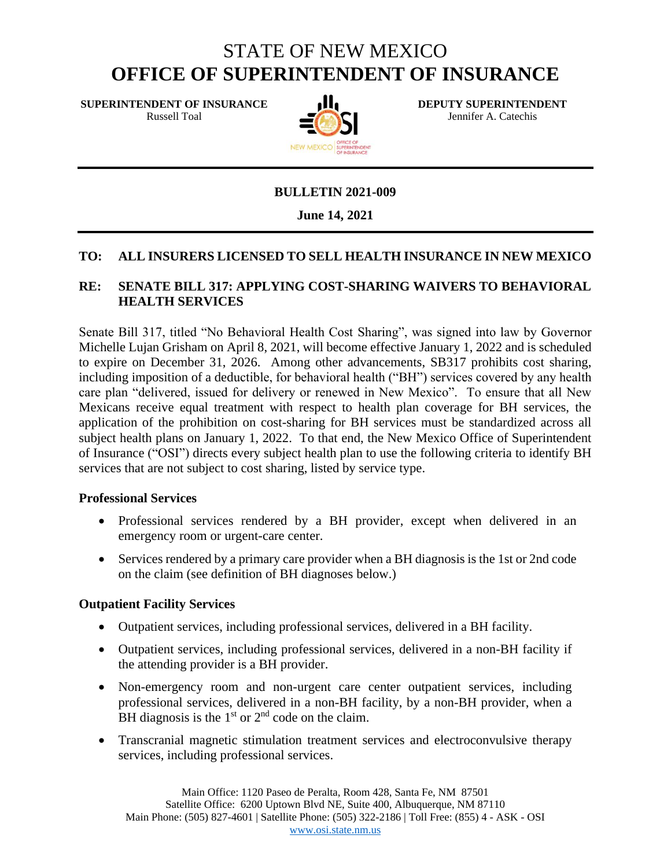# STATE OF NEW MEXICO **OFFICE OF SUPERINTENDENT OF INSURANCE**

**SUPERINTENDENT OF INSURANCE**  Russell Toal



**DEPUTY SUPERINTENDENT** Jennifer A. Catechis

#### **BULLETIN 2021-009**

#### **June 14, 2021**

#### **TO: ALL INSURERS LICENSED TO SELL HEALTH INSURANCE IN NEW MEXICO**

#### **RE: SENATE BILL 317: APPLYING COST-SHARING WAIVERS TO BEHAVIORAL HEALTH SERVICES**

Senate Bill 317, titled "No Behavioral Health Cost Sharing", was signed into law by Governor Michelle Lujan Grisham on April 8, 2021, will become effective January 1, 2022 and is scheduled to expire on December 31, 2026. Among other advancements, SB317 prohibits cost sharing, including imposition of a deductible, for behavioral health ("BH") services covered by any health care plan "delivered, issued for delivery or renewed in New Mexico". To ensure that all New Mexicans receive equal treatment with respect to health plan coverage for BH services, the application of the prohibition on cost-sharing for BH services must be standardized across all subject health plans on January 1, 2022. To that end, the New Mexico Office of Superintendent of Insurance ("OSI") directs every subject health plan to use the following criteria to identify BH services that are not subject to cost sharing, listed by service type.

#### **Professional Services**

- Professional services rendered by a BH provider, except when delivered in an emergency room or urgent-care center.
- Services rendered by a primary care provider when a BH diagnosis is the 1st or 2nd code on the claim (see definition of BH diagnoses below.)

#### **Outpatient Facility Services**

- Outpatient services, including professional services, delivered in a BH facility.
- Outpatient services, including professional services, delivered in a non-BH facility if the attending provider is a BH provider.
- Non-emergency room and non-urgent care center outpatient services, including professional services, delivered in a non-BH facility, by a non-BH provider, when a BH diagnosis is the  $1<sup>st</sup>$  or  $2<sup>nd</sup>$  code on the claim.
- Transcranial magnetic stimulation treatment services and electroconvulsive therapy services, including professional services.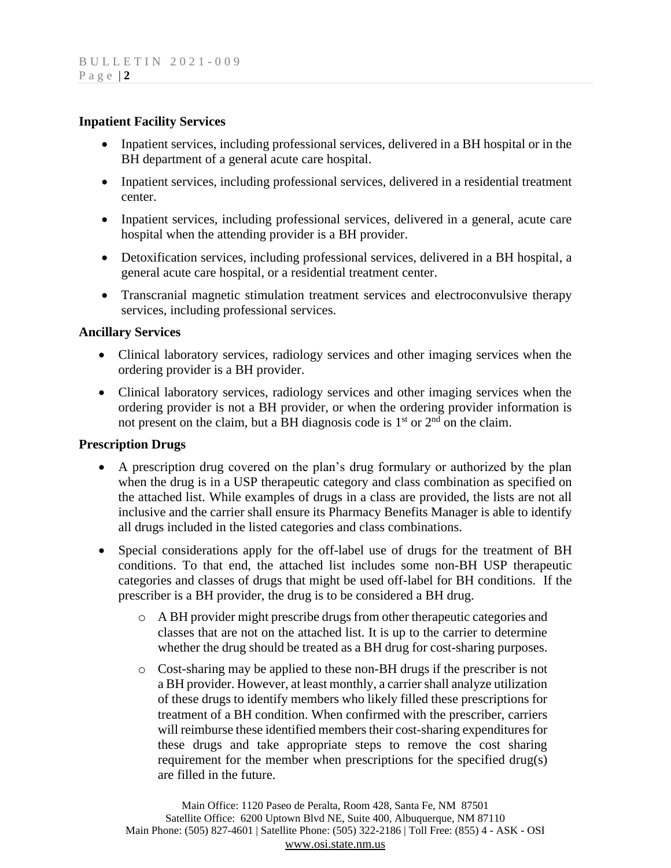#### **Inpatient Facility Services**

- Inpatient services, including professional services, delivered in a BH hospital or in the BH department of a general acute care hospital.
- Inpatient services, including professional services, delivered in a residential treatment center.
- Inpatient services, including professional services, delivered in a general, acute care hospital when the attending provider is a BH provider.
- Detoxification services, including professional services, delivered in a BH hospital, a general acute care hospital, or a residential treatment center.
- Transcranial magnetic stimulation treatment services and electroconvulsive therapy services, including professional services.

#### **Ancillary Services**

- Clinical laboratory services, radiology services and other imaging services when the ordering provider is a BH provider.
- Clinical laboratory services, radiology services and other imaging services when the ordering provider is not a BH provider, or when the ordering provider information is not present on the claim, but a BH diagnosis code is  $1<sup>st</sup>$  or  $2<sup>nd</sup>$  on the claim.

#### **Prescription Drugs**

- A prescription drug covered on the plan's drug formulary or authorized by the plan when the drug is in a USP therapeutic category and class combination as specified on the attached list. While examples of drugs in a class are provided, the lists are not all inclusive and the carrier shall ensure its Pharmacy Benefits Manager is able to identify all drugs included in the listed categories and class combinations.
- Special considerations apply for the off-label use of drugs for the treatment of BH conditions. To that end, the attached list includes some non-BH USP therapeutic categories and classes of drugs that might be used off-label for BH conditions. If the prescriber is a BH provider, the drug is to be considered a BH drug.
	- o A BH provider might prescribe drugs from other therapeutic categories and classes that are not on the attached list. It is up to the carrier to determine whether the drug should be treated as a BH drug for cost-sharing purposes.
	- o Cost-sharing may be applied to these non-BH drugs if the prescriber is not a BH provider. However, at least monthly, a carrier shall analyze utilization of these drugs to identify members who likely filled these prescriptions for treatment of a BH condition. When confirmed with the prescriber, carriers will reimburse these identified members their cost-sharing expenditures for these drugs and take appropriate steps to remove the cost sharing requirement for the member when prescriptions for the specified drug(s) are filled in the future.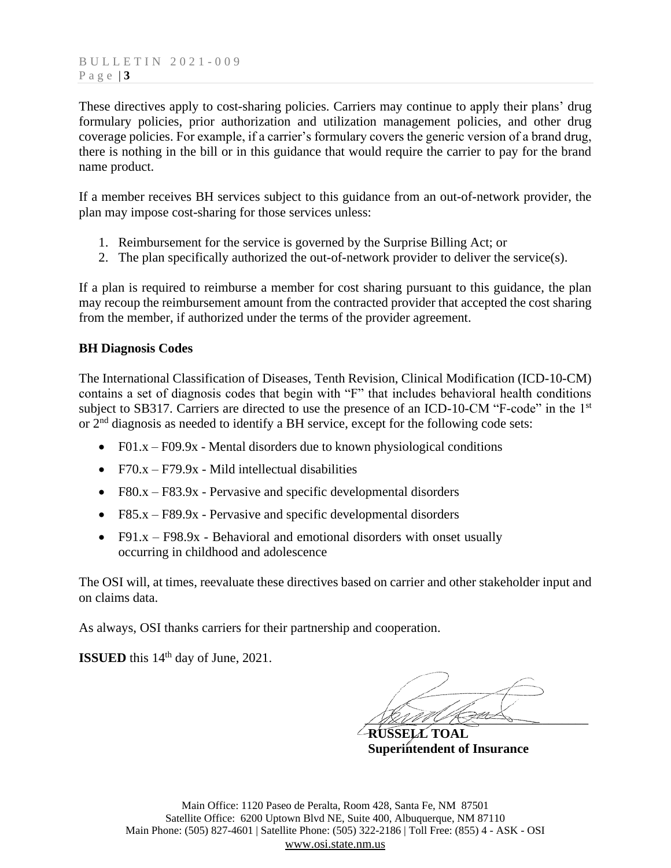These directives apply to cost-sharing policies. Carriers may continue to apply their plans' drug formulary policies, prior authorization and utilization management policies, and other drug coverage policies. For example, if a carrier's formulary covers the generic version of a brand drug, there is nothing in the bill or in this guidance that would require the carrier to pay for the brand name product.

If a member receives BH services subject to this guidance from an out-of-network provider, the plan may impose cost-sharing for those services unless:

- 1. Reimbursement for the service is governed by the Surprise Billing Act; or
- 2. The plan specifically authorized the out-of-network provider to deliver the service(s).

If a plan is required to reimburse a member for cost sharing pursuant to this guidance, the plan may recoup the reimbursement amount from the contracted provider that accepted the cost sharing from the member, if authorized under the terms of the provider agreement.

#### **BH Diagnosis Codes**

The International Classification of Diseases, Tenth Revision, Clinical Modification (ICD-10-CM) contains a set of diagnosis codes that begin with "F" that includes behavioral health conditions subject to SB317. Carriers are directed to use the presence of an ICD-10-CM "F-code" in the 1<sup>st</sup> or 2nd diagnosis as needed to identify a BH service, except for the following code sets:

- F01. $x F09.9x$  Mental disorders due to known physiological conditions
- $F70.x F79.9x$  Mild intellectual disabilities
- F80. $x F83.9x$  Pervasive and specific developmental disorders
- F85. $x F89.9x$  Pervasive and specific developmental disorders
- F91. $x F98.9x$  Behavioral and emotional disorders with onset usually occurring in childhood and adolescence

The OSI will, at times, reevaluate these directives based on carrier and other stakeholder input and on claims data.

As always, OSI thanks carriers for their partnership and cooperation.

**ISSUED** this 14<sup>th</sup> day of June, 2021.

 $\frac{1}{2}$ 

 **RUSSELL TOAL Superintendent of Insurance**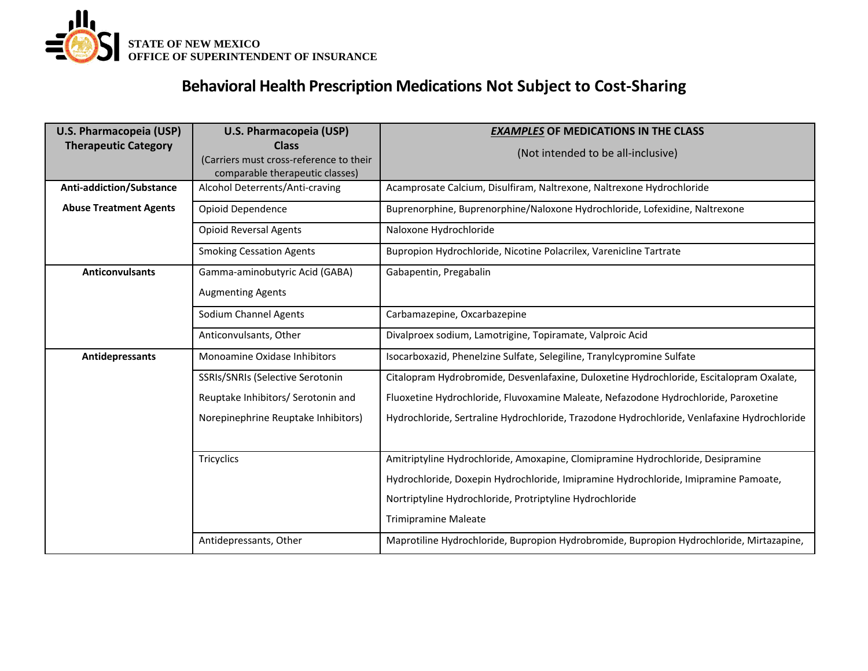

## **Behavioral Health Prescription Medications Not Subject to Cost-Sharing**

| U.S. Pharmacopeia (USP)       | U.S. Pharmacopeia (USP)                                                                    | <b>EXAMPLES OF MEDICATIONS IN THE CLASS</b>                                                 |
|-------------------------------|--------------------------------------------------------------------------------------------|---------------------------------------------------------------------------------------------|
| <b>Therapeutic Category</b>   | <b>Class</b><br>(Carriers must cross-reference to their<br>comparable therapeutic classes) | (Not intended to be all-inclusive)                                                          |
| Anti-addiction/Substance      | Alcohol Deterrents/Anti-craving                                                            | Acamprosate Calcium, Disulfiram, Naltrexone, Naltrexone Hydrochloride                       |
| <b>Abuse Treatment Agents</b> | Opioid Dependence                                                                          | Buprenorphine, Buprenorphine/Naloxone Hydrochloride, Lofexidine, Naltrexone                 |
|                               | <b>Opioid Reversal Agents</b>                                                              | Naloxone Hydrochloride                                                                      |
|                               | <b>Smoking Cessation Agents</b>                                                            | Bupropion Hydrochloride, Nicotine Polacrilex, Varenicline Tartrate                          |
| <b>Anticonvulsants</b>        | Gamma-aminobutyric Acid (GABA)                                                             | Gabapentin, Pregabalin                                                                      |
|                               | <b>Augmenting Agents</b>                                                                   |                                                                                             |
|                               | Sodium Channel Agents                                                                      | Carbamazepine, Oxcarbazepine                                                                |
|                               | Anticonvulsants, Other                                                                     | Divalproex sodium, Lamotrigine, Topiramate, Valproic Acid                                   |
| Antidepressants               | Monoamine Oxidase Inhibitors                                                               | Isocarboxazid, Phenelzine Sulfate, Selegiline, Tranylcypromine Sulfate                      |
|                               | SSRIs/SNRIs (Selective Serotonin                                                           | Citalopram Hydrobromide, Desvenlafaxine, Duloxetine Hydrochloride, Escitalopram Oxalate,    |
|                               | Reuptake Inhibitors/ Serotonin and                                                         | Fluoxetine Hydrochloride, Fluvoxamine Maleate, Nefazodone Hydrochloride, Paroxetine         |
|                               | Norepinephrine Reuptake Inhibitors)                                                        | Hydrochloride, Sertraline Hydrochloride, Trazodone Hydrochloride, Venlafaxine Hydrochloride |
|                               |                                                                                            |                                                                                             |
|                               | Tricyclics                                                                                 | Amitriptyline Hydrochloride, Amoxapine, Clomipramine Hydrochloride, Desipramine             |
|                               |                                                                                            | Hydrochloride, Doxepin Hydrochloride, Imipramine Hydrochloride, Imipramine Pamoate,         |
|                               |                                                                                            | Nortriptyline Hydrochloride, Protriptyline Hydrochloride                                    |
|                               |                                                                                            | <b>Trimipramine Maleate</b>                                                                 |
|                               | Antidepressants, Other                                                                     | Maprotiline Hydrochloride, Bupropion Hydrobromide, Bupropion Hydrochloride, Mirtazapine,    |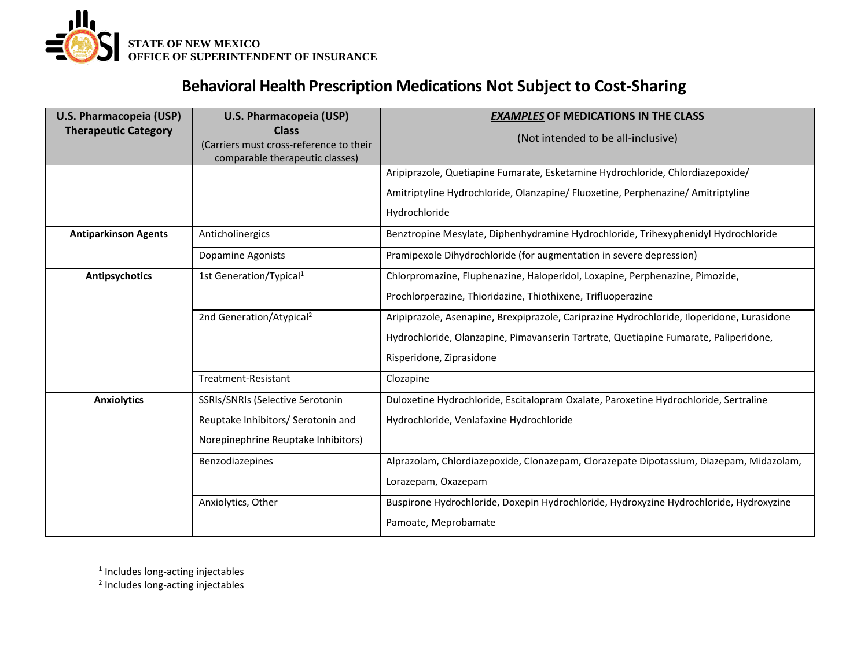

### **Behavioral Health Prescription Medications Not Subject to Cost-Sharing**

| U.S. Pharmacopeia (USP)     | U.S. Pharmacopeia (USP)                                                                    | <b>EXAMPLES OF MEDICATIONS IN THE CLASS</b>                                                |
|-----------------------------|--------------------------------------------------------------------------------------------|--------------------------------------------------------------------------------------------|
| <b>Therapeutic Category</b> | <b>Class</b><br>(Carriers must cross-reference to their<br>comparable therapeutic classes) | (Not intended to be all-inclusive)                                                         |
|                             |                                                                                            | Aripiprazole, Quetiapine Fumarate, Esketamine Hydrochloride, Chlordiazepoxide/             |
|                             |                                                                                            | Amitriptyline Hydrochloride, Olanzapine/ Fluoxetine, Perphenazine/ Amitriptyline           |
|                             |                                                                                            | Hydrochloride                                                                              |
| <b>Antiparkinson Agents</b> | Anticholinergics                                                                           | Benztropine Mesylate, Diphenhydramine Hydrochloride, Trihexyphenidyl Hydrochloride         |
|                             | Dopamine Agonists                                                                          | Pramipexole Dihydrochloride (for augmentation in severe depression)                        |
| <b>Antipsychotics</b>       | 1st Generation/Typical <sup>1</sup>                                                        | Chlorpromazine, Fluphenazine, Haloperidol, Loxapine, Perphenazine, Pimozide,               |
|                             |                                                                                            | Prochlorperazine, Thioridazine, Thiothixene, Trifluoperazine                               |
|                             | 2nd Generation/Atypical <sup>2</sup>                                                       | Aripiprazole, Asenapine, Brexpiprazole, Cariprazine Hydrochloride, Iloperidone, Lurasidone |
|                             |                                                                                            | Hydrochloride, Olanzapine, Pimavanserin Tartrate, Quetiapine Fumarate, Paliperidone,       |
|                             |                                                                                            | Risperidone, Ziprasidone                                                                   |
|                             | Treatment-Resistant                                                                        | Clozapine                                                                                  |
| <b>Anxiolytics</b>          | SSRIs/SNRIs (Selective Serotonin                                                           | Duloxetine Hydrochloride, Escitalopram Oxalate, Paroxetine Hydrochloride, Sertraline       |
|                             | Reuptake Inhibitors/ Serotonin and                                                         | Hydrochloride, Venlafaxine Hydrochloride                                                   |
|                             | Norepinephrine Reuptake Inhibitors)                                                        |                                                                                            |
|                             | Benzodiazepines                                                                            | Alprazolam, Chlordiazepoxide, Clonazepam, Clorazepate Dipotassium, Diazepam, Midazolam,    |
|                             |                                                                                            | Lorazepam, Oxazepam                                                                        |
|                             | Anxiolytics, Other                                                                         | Buspirone Hydrochloride, Doxepin Hydrochloride, Hydroxyzine Hydrochloride, Hydroxyzine     |
|                             |                                                                                            | Pamoate, Meprobamate                                                                       |

- <sup>1</sup> Includes long-acting injectables
- 2 Includes long-acting injectables